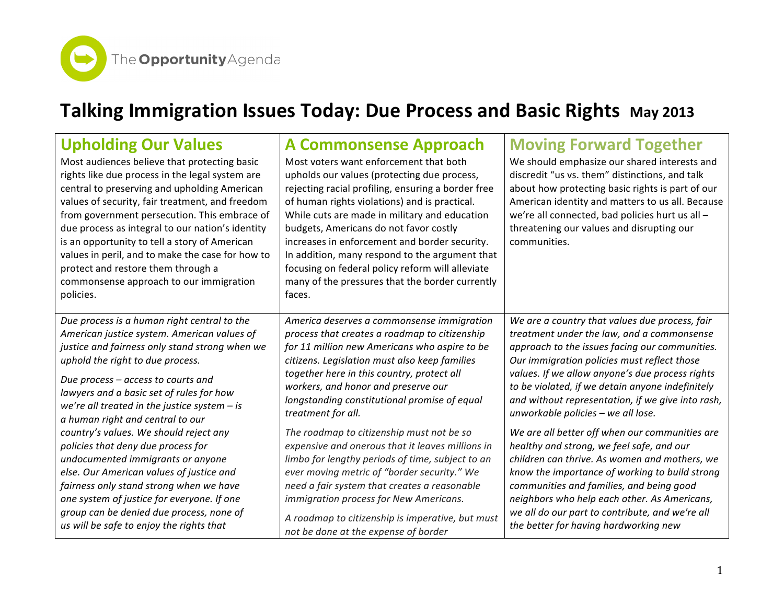The **Opportunity** Agenda

## **Talking Immigration Issues Today: Due Process and Basic Rights May 2013**

| <b>Upholding Our Values</b><br>Most audiences believe that protecting basic<br>rights like due process in the legal system are<br>central to preserving and upholding American<br>values of security, fair treatment, and freedom<br>from government persecution. This embrace of<br>due process as integral to our nation's identity<br>is an opportunity to tell a story of American<br>values in peril, and to make the case for how to<br>protect and restore them through a<br>commonsense approach to our immigration<br>policies. | A Commonsense Approach<br>Most voters want enforcement that both<br>upholds our values (protecting due process,<br>rejecting racial profiling, ensuring a border free<br>of human rights violations) and is practical.<br>While cuts are made in military and education<br>budgets, Americans do not favor costly<br>increases in enforcement and border security.<br>In addition, many respond to the argument that<br>focusing on federal policy reform will alleviate<br>many of the pressures that the border currently<br>faces. | <b>Moving Forward Together</b><br>We should emphasize our shared interests and<br>discredit "us vs. them" distinctions, and talk<br>about how protecting basic rights is part of our<br>American identity and matters to us all. Because<br>we're all connected, bad policies hurt us all -<br>threatening our values and disrupting our<br>communities. |
|------------------------------------------------------------------------------------------------------------------------------------------------------------------------------------------------------------------------------------------------------------------------------------------------------------------------------------------------------------------------------------------------------------------------------------------------------------------------------------------------------------------------------------------|---------------------------------------------------------------------------------------------------------------------------------------------------------------------------------------------------------------------------------------------------------------------------------------------------------------------------------------------------------------------------------------------------------------------------------------------------------------------------------------------------------------------------------------|----------------------------------------------------------------------------------------------------------------------------------------------------------------------------------------------------------------------------------------------------------------------------------------------------------------------------------------------------------|
| Due process is a human right central to the                                                                                                                                                                                                                                                                                                                                                                                                                                                                                              | America deserves a commonsense immigration                                                                                                                                                                                                                                                                                                                                                                                                                                                                                            | We are a country that values due process, fair                                                                                                                                                                                                                                                                                                           |
| American justice system. American values of                                                                                                                                                                                                                                                                                                                                                                                                                                                                                              | process that creates a roadmap to citizenship                                                                                                                                                                                                                                                                                                                                                                                                                                                                                         | treatment under the law, and a commonsense                                                                                                                                                                                                                                                                                                               |
| justice and fairness only stand strong when we                                                                                                                                                                                                                                                                                                                                                                                                                                                                                           | for 11 million new Americans who aspire to be                                                                                                                                                                                                                                                                                                                                                                                                                                                                                         | approach to the issues facing our communities.                                                                                                                                                                                                                                                                                                           |
| uphold the right to due process.                                                                                                                                                                                                                                                                                                                                                                                                                                                                                                         | citizens. Legislation must also keep families                                                                                                                                                                                                                                                                                                                                                                                                                                                                                         | Our immigration policies must reflect those                                                                                                                                                                                                                                                                                                              |
| Due process - access to courts and                                                                                                                                                                                                                                                                                                                                                                                                                                                                                                       | together here in this country, protect all                                                                                                                                                                                                                                                                                                                                                                                                                                                                                            | values. If we allow anyone's due process rights                                                                                                                                                                                                                                                                                                          |
| lawyers and a basic set of rules for how                                                                                                                                                                                                                                                                                                                                                                                                                                                                                                 | workers, and honor and preserve our                                                                                                                                                                                                                                                                                                                                                                                                                                                                                                   | to be violated, if we detain anyone indefinitely                                                                                                                                                                                                                                                                                                         |
| we're all treated in the justice system $-$ is                                                                                                                                                                                                                                                                                                                                                                                                                                                                                           | longstanding constitutional promise of equal                                                                                                                                                                                                                                                                                                                                                                                                                                                                                          | and without representation, if we give into rash,                                                                                                                                                                                                                                                                                                        |
| a human right and central to our                                                                                                                                                                                                                                                                                                                                                                                                                                                                                                         | treatment for all.                                                                                                                                                                                                                                                                                                                                                                                                                                                                                                                    | unworkable policies - we all lose.                                                                                                                                                                                                                                                                                                                       |
| country's values. We should reject any                                                                                                                                                                                                                                                                                                                                                                                                                                                                                                   | The roadmap to citizenship must not be so                                                                                                                                                                                                                                                                                                                                                                                                                                                                                             | We are all better off when our communities are                                                                                                                                                                                                                                                                                                           |
| policies that deny due process for                                                                                                                                                                                                                                                                                                                                                                                                                                                                                                       | expensive and onerous that it leaves millions in                                                                                                                                                                                                                                                                                                                                                                                                                                                                                      | healthy and strong, we feel safe, and our                                                                                                                                                                                                                                                                                                                |
| undocumented immigrants or anyone                                                                                                                                                                                                                                                                                                                                                                                                                                                                                                        | limbo for lengthy periods of time, subject to an                                                                                                                                                                                                                                                                                                                                                                                                                                                                                      | children can thrive. As women and mothers, we                                                                                                                                                                                                                                                                                                            |
| else. Our American values of justice and                                                                                                                                                                                                                                                                                                                                                                                                                                                                                                 | ever moving metric of "border security." We                                                                                                                                                                                                                                                                                                                                                                                                                                                                                           | know the importance of working to build strong                                                                                                                                                                                                                                                                                                           |
| fairness only stand strong when we have                                                                                                                                                                                                                                                                                                                                                                                                                                                                                                  | need a fair system that creates a reasonable                                                                                                                                                                                                                                                                                                                                                                                                                                                                                          | communities and families, and being good                                                                                                                                                                                                                                                                                                                 |
| one system of justice for everyone. If one                                                                                                                                                                                                                                                                                                                                                                                                                                                                                               | immigration process for New Americans.                                                                                                                                                                                                                                                                                                                                                                                                                                                                                                | neighbors who help each other. As Americans,                                                                                                                                                                                                                                                                                                             |
| group can be denied due process, none of                                                                                                                                                                                                                                                                                                                                                                                                                                                                                                 | A roadmap to citizenship is imperative, but must                                                                                                                                                                                                                                                                                                                                                                                                                                                                                      | we all do our part to contribute, and we're all                                                                                                                                                                                                                                                                                                          |
| us will be safe to enjoy the rights that                                                                                                                                                                                                                                                                                                                                                                                                                                                                                                 | not be done at the expense of border                                                                                                                                                                                                                                                                                                                                                                                                                                                                                                  | the better for having hardworking new                                                                                                                                                                                                                                                                                                                    |